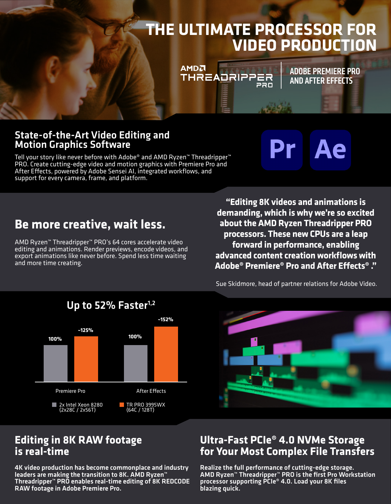# **THE ULTIMATE PROCESSOR FOR VIDEO PRODUCTION**

220

**THREADRIPPER** 

**AMDA** 

#### State-of-the-Art Video Editing and Motion Graphics Software

Tell your story like never before with Adobe® and AMD Ryzen™ Threadripper™ PRO. Create cutting-edge video and motion graphics with Premiere Pro and After Effects, powered by Adobe Sensei AI, integrated workflows, and support for every camera, frame, and platform.

Ae Pr.

ADOBE PREMIERE PRO AND AFTER EFFECTS

### **Be more creative, wait less.**

AMD Ryzen™ Threadripper™ PRO's 64 cores accelerate video editing and animations. Render previews, encode videos, and export animations like never before. Spend less time waiting and more time creating.

**"Editing 8K videos and animations is demanding, which is why we're so excited about the AMD Ryzen Threadripper PRO processors. These new CPUs are a leap forward in performance, enabling advanced content creation workflows with Adobe® Premiere® Pro and After Effects® ."**



Sue Skidmore, head of partner relations for Adobe Video.



#### **Editing in 8K RAW footage is real-time**

4K video production has become commonplace and industry leaders are making the transition to 8K. AMD Ryzen™ Threadripper™ PRO enables real-time editing of 8K REDCODE RAW footage in Adobe Premiere Pro.

#### **Ultra-Fast PCIe® 4.0 NVMe Storage for Your Most Complex File Transfers**

Realize the full performance of cutting-edge storage. AMD Ryzen™ Threadripper™ PRO is the first Pro Workstation processor supporting PCIe® 4.0. Load your 8K files blazing quick.